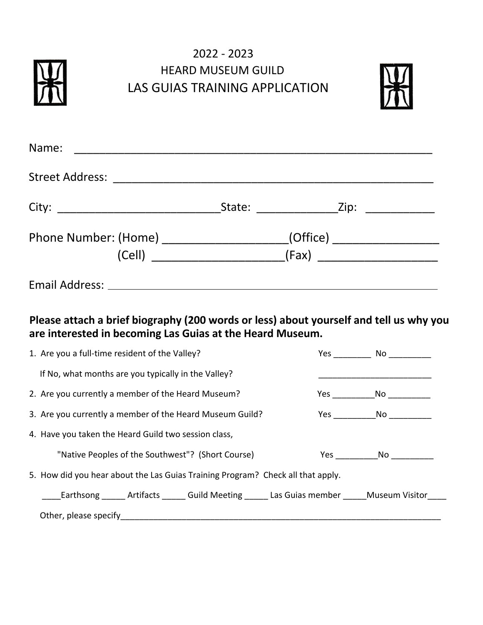## 2022 - 2023 HEARD MUSEUM GUILD LAS GUIAS TRAINING APPLICATION



| Name:                                                                            |  |  |  |  |  |
|----------------------------------------------------------------------------------|--|--|--|--|--|
|                                                                                  |  |  |  |  |  |
|                                                                                  |  |  |  |  |  |
| Phone Number: (Home) ________________________(Office) __________________________ |  |  |  |  |  |
|                                                                                  |  |  |  |  |  |
|                                                                                  |  |  |  |  |  |

## **Please attach a brief biography (200 words or less) about yourself and tell us why you are interested in becoming Las Guias at the Heard Museum.**

| 1. Are you a full-time resident of the Valley?                                                 |  | Yes No |  |  |  |
|------------------------------------------------------------------------------------------------|--|--------|--|--|--|
| If No, what months are you typically in the Valley?                                            |  |        |  |  |  |
| 2. Are you currently a member of the Heard Museum?                                             |  | Yes No |  |  |  |
| 3. Are you currently a member of the Heard Museum Guild?                                       |  |        |  |  |  |
| 4. Have you taken the Heard Guild two session class,                                           |  |        |  |  |  |
| "Native Peoples of the Southwest"? (Short Course)                                              |  | Yes No |  |  |  |
| 5. How did you hear about the Las Guias Training Program? Check all that apply.                |  |        |  |  |  |
| _Earthsong ______ Artifacts ______ Guild Meeting ______ Las Guias member ______ Museum Visitor |  |        |  |  |  |
|                                                                                                |  |        |  |  |  |